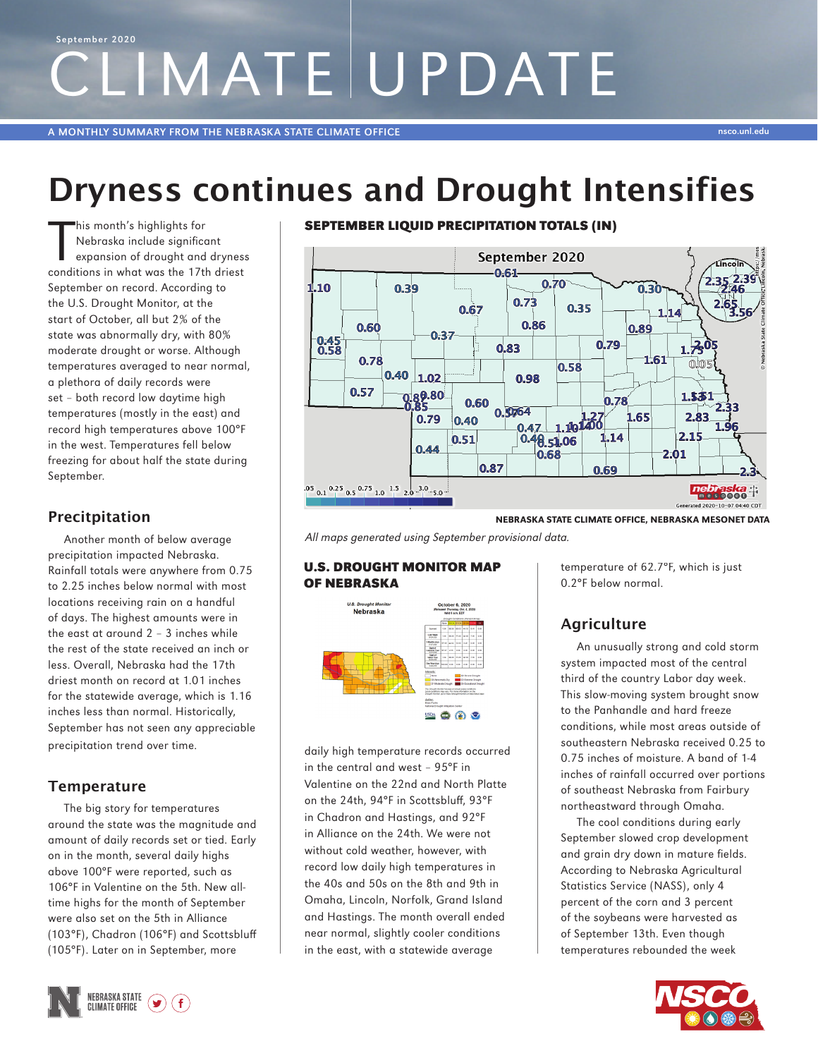# LIMATE UPDATE September 2020

A MONTHLY SUMMARY FROM THE NEBRASKA STATE CLIMATE OFFICE NEWSLAPHONES AND THE UNIT OF THE UNIT OF THE UNIT OF T

# Dryness continues and Drought Intensifies

This month's highlights for<br>Nebraska include significe<br>expansion of drought and<br>conditions in what was the 17th Nebraska include significant expansion of drought and dryness conditions in what was the 17th driest September on record. According to the U.S. Drought Monitor, at the start of October, all but 2% of the state was abnormally dry, with 80% moderate drought or worse. Although temperatures averaged to near normal, a plethora of daily records were set – both record low daytime high temperatures (mostly in the east) and record high temperatures above 100°F in the west. Temperatures fell below freezing for about half the state during September.

# Precitpitation

Another month of below average precipitation impacted Nebraska. Rainfall totals were anywhere from 0.75 to 2.25 inches below normal with most locations receiving rain on a handful of days. The highest amounts were in the east at around 2 – 3 inches while the rest of the state received an inch or less. Overall, Nebraska had the 17th driest month on record at 1.01 inches for the statewide average, which is 1.16 inches less than normal. Historically, September has not seen any appreciable precipitation trend over time.

## **Temperature**

The big story for temperatures around the state was the magnitude and amount of daily records set or tied. Early on in the month, several daily highs above 100°F were reported, such as 106°F in Valentine on the 5th. New alltime highs for the month of September were also set on the 5th in Alliance (103°F), Chadron (106°F) and Scottsbluff (105°F). Later on in September, more



### SEPTEMBER LIQUID PRECIPITATION TOTALS (IN)



NEBRASKA STATE CLIMATE OFFICE, NEBRASKA MESONET DATA

All maps generated using September provisional data.

#### U.S. DROUGHT MONITOR MAP OF NEBRASKA



daily high temperature records occurred in the central and west – 95°F in Valentine on the 22nd and North Platte on the 24th, 94°F in Scottsbluff, 93°F in Chadron and Hastings, and 92°F in Alliance on the 24th. We were not without cold weather, however, with record low daily high temperatures in the 40s and 50s on the 8th and 9th in Omaha, Lincoln, Norfolk, Grand Island and Hastings. The month overall ended near normal, slightly cooler conditions in the east, with a statewide average

temperature of 62.7°F, which is just 0.2°F below normal.

# **Agriculture**

An unusually strong and cold storm system impacted most of the central third of the country Labor day week. This slow-moving system brought snow to the Panhandle and hard freeze conditions, while most areas outside of southeastern Nebraska received 0.25 to 0.75 inches of moisture. A band of 1-4 inches of rainfall occurred over portions of southeast Nebraska from Fairbury northeastward through Omaha.

The cool conditions during early September slowed crop development and grain dry down in mature fields. According to Nebraska Agricultural Statistics Service (NASS), only 4 percent of the corn and 3 percent of the soybeans were harvested as of September 13th. Even though temperatures rebounded the week